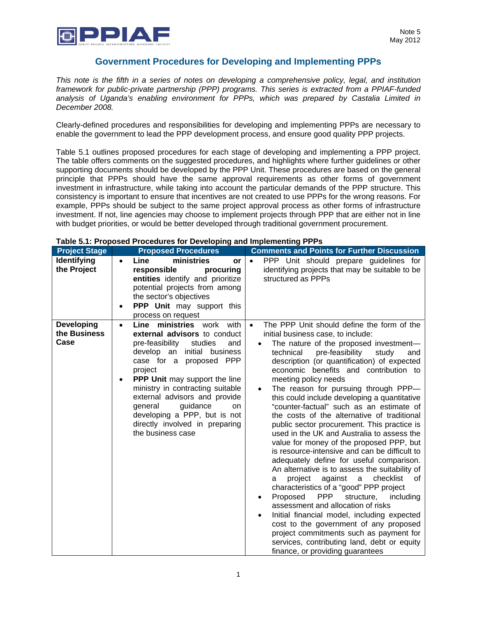

## **Government Procedures for Developing and Implementing PPPs**

*This note is the fifth in a series of notes on developing a comprehensive policy, legal, and institution framework for public-private partnership (PPP) programs. This series is extracted from a PPIAF-funded analysis of Uganda's enabling environment for PPPs, which was prepared by Castalia Limited in December 2008.* 

Clearly-defined procedures and responsibilities for developing and implementing PPPs are necessary to enable the government to lead the PPP development process, and ensure good quality PPP projects.

Table 5.1 outlines proposed procedures for each stage of developing and implementing a PPP project. The table offers comments on the suggested procedures, and highlights where further guidelines or other supporting documents should be developed by the PPP Unit. These procedures are based on the general principle that PPPs should have the same approval requirements as other forms of government investment in infrastructure, while taking into account the particular demands of the PPP structure. This consistency is important to ensure that incentives are not created to use PPPs for the wrong reasons. For example, PPPs should be subject to the same project approval process as other forms of infrastructure investment. If not, line agencies may choose to implement projects through PPP that are either not in line with budget priorities, or would be better developed through traditional government procurement.

| <b>Project Stage</b>               | <b>Proposed Procedures</b>                                                                                                                                                                                                                                                                                                                                                                                           | <b>Comments and Points for Further Discussion</b>                                                                                                                                                                                                                                                                                                                                                                                                                                                                                                                                                                                                                                                                                                                                                                                                                                                                                                                                                                                                                                                                                                                                           |
|------------------------------------|----------------------------------------------------------------------------------------------------------------------------------------------------------------------------------------------------------------------------------------------------------------------------------------------------------------------------------------------------------------------------------------------------------------------|---------------------------------------------------------------------------------------------------------------------------------------------------------------------------------------------------------------------------------------------------------------------------------------------------------------------------------------------------------------------------------------------------------------------------------------------------------------------------------------------------------------------------------------------------------------------------------------------------------------------------------------------------------------------------------------------------------------------------------------------------------------------------------------------------------------------------------------------------------------------------------------------------------------------------------------------------------------------------------------------------------------------------------------------------------------------------------------------------------------------------------------------------------------------------------------------|
| <b>Identifying</b><br>the Project  | ministries<br>Line<br>or<br>responsible<br>procuring<br>entities identify and prioritize<br>potential projects from among<br>the sector's objectives<br><b>PPP Unit may support this</b><br>process on request                                                                                                                                                                                                       | PPP Unit should prepare guidelines for<br>$\bullet$<br>identifying projects that may be suitable to be<br>structured as PPPs                                                                                                                                                                                                                                                                                                                                                                                                                                                                                                                                                                                                                                                                                                                                                                                                                                                                                                                                                                                                                                                                |
| Developing<br>the Business<br>Case | Line ministries work with<br>$\bullet$<br>external advisors to conduct<br>pre-feasibility<br>studies<br>and<br>develop an initial business<br>PPP<br>case for a proposed<br>project<br><b>PPP Unit may support the line</b><br>ministry in contracting suitable<br>external advisors and provide<br>general<br>guidance<br>on<br>developing a PPP, but is not<br>directly involved in preparing<br>the business case | The PPP Unit should define the form of the<br>$\bullet$<br>initial business case, to include:<br>The nature of the proposed investment-<br>pre-feasibility<br>technical<br>study<br>and<br>description (or quantification) of expected<br>economic benefits and contribution to<br>meeting policy needs<br>The reason for pursuing through PPP-<br>this could include developing a quantitative<br>"counter-factual" such as an estimate of<br>the costs of the alternative of traditional<br>public sector procurement. This practice is<br>used in the UK and Australia to assess the<br>value for money of the proposed PPP, but<br>is resource-intensive and can be difficult to<br>adequately define for useful comparison.<br>An alternative is to assess the suitability of<br>against<br>a<br>checklist<br>project<br>0f<br>a<br>characteristics of a "good" PPP project<br>Proposed<br>PPP<br>structure,<br>including<br>assessment and allocation of risks<br>Initial financial model, including expected<br>cost to the government of any proposed<br>project commitments such as payment for<br>services, contributing land, debt or equity<br>finance, or providing guarantees |

## **Table 5.1: Proposed Procedures for Developing and Implementing PPPs**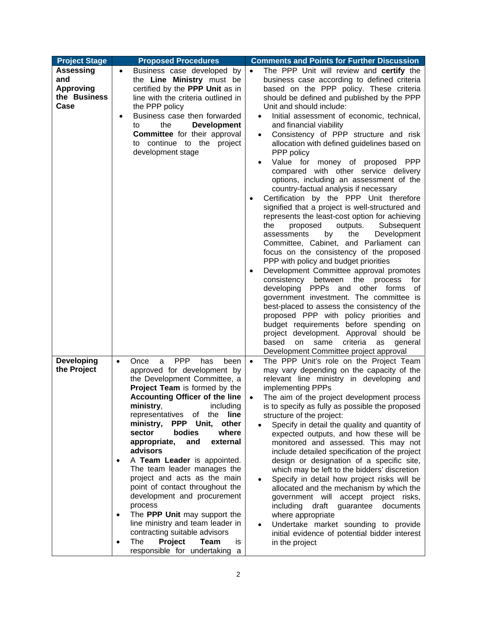| <b>Project Stage</b>                                         | <b>Proposed Procedures</b>                                                                                                                                                                                                                                                                                                                                                                                                                                                                                                                                                                                                                                                                                                                        | <b>Comments and Points for Further Discussion</b>                                                                                                                                                                                                                                                                                                                                                                                                                                                                                                                                                                                                                                                                                                                                                                                                                                                                   |
|--------------------------------------------------------------|---------------------------------------------------------------------------------------------------------------------------------------------------------------------------------------------------------------------------------------------------------------------------------------------------------------------------------------------------------------------------------------------------------------------------------------------------------------------------------------------------------------------------------------------------------------------------------------------------------------------------------------------------------------------------------------------------------------------------------------------------|---------------------------------------------------------------------------------------------------------------------------------------------------------------------------------------------------------------------------------------------------------------------------------------------------------------------------------------------------------------------------------------------------------------------------------------------------------------------------------------------------------------------------------------------------------------------------------------------------------------------------------------------------------------------------------------------------------------------------------------------------------------------------------------------------------------------------------------------------------------------------------------------------------------------|
| Assessing<br>and<br><b>Approving</b><br>the Business<br>Case | Business case developed by<br>$\bullet$<br>the Line Ministry must be<br>certified by the PPP Unit as in<br>line with the criteria outlined in<br>the PPP policy<br>Business case then forwarded<br>the<br><b>Development</b><br>to<br><b>Committee</b> for their approval<br>to continue to the project<br>development stage                                                                                                                                                                                                                                                                                                                                                                                                                      | The PPP Unit will review and certify the<br>$\bullet$<br>business case according to defined criteria<br>based on the PPP policy. These criteria<br>should be defined and published by the PPP<br>Unit and should include:<br>Initial assessment of economic, technical,<br>and financial viability<br>Consistency of PPP structure and risk<br>allocation with defined guidelines based on<br>PPP policy<br>Value for money of proposed PPP<br>compared with other service delivery<br>options, including an assessment of the<br>country-factual analysis if necessary<br>Certification by the PPP Unit therefore                                                                                                                                                                                                                                                                                                  |
|                                                              |                                                                                                                                                                                                                                                                                                                                                                                                                                                                                                                                                                                                                                                                                                                                                   | signified that a project is well-structured and<br>represents the least-cost option for achieving<br>the<br>outputs.<br>Subsequent<br>proposed<br>the<br>Development<br>assessments<br>by<br>Committee, Cabinet, and Parliament can<br>focus on the consistency of the proposed<br>PPP with policy and budget priorities<br>Development Committee approval promotes<br>consistency<br>between<br>the<br>process<br>for<br>developing PPPs and other forms<br>0f<br>government investment. The committee is<br>best-placed to assess the consistency of the<br>proposed PPP with policy priorities and<br>budget requirements before spending on<br>project development. Approval should be<br>based<br>same<br>criteria<br>on<br>as<br>general<br>Development Committee project approval                                                                                                                            |
| <b>Developing</b><br>the Project                             | <b>PPP</b><br>Once<br>has<br>been<br>a<br>$\bullet$<br>approved for development by<br>the Development Committee, a<br>Project Team is formed by the<br><b>Accounting Officer of the line</b><br>ministry, including<br>line<br>representatives of<br>the<br>ministry,<br>PPP Unit,<br>other<br>bodies<br>where<br>sector<br>appropriate,<br>and<br>external<br>advisors<br>A Team Leader is appointed.<br>$\bullet$<br>The team leader manages the<br>project and acts as the main<br>point of contact throughout the<br>development and procurement<br>process<br>The PPP Unit may support the<br>٠<br>line ministry and team leader in<br>contracting suitable advisors<br>The<br>Project<br><b>Team</b><br>is<br>responsible for undertaking a | The PPP Unit's role on the Project Team<br>$\bullet$<br>may vary depending on the capacity of the<br>relevant line ministry in developing and<br>implementing PPPs<br>The aim of the project development process<br>$\bullet$<br>is to specify as fully as possible the proposed<br>structure of the project:<br>Specify in detail the quality and quantity of<br>expected outputs, and how these will be<br>monitored and assessed. This may not<br>include detailed specification of the project<br>design or designation of a specific site,<br>which may be left to the bidders' discretion<br>Specify in detail how project risks will be<br>allocated and the mechanism by which the<br>government will accept project risks,<br>including<br>draft<br>guarantee<br>documents<br>where appropriate<br>Undertake market sounding to provide<br>initial evidence of potential bidder interest<br>in the project |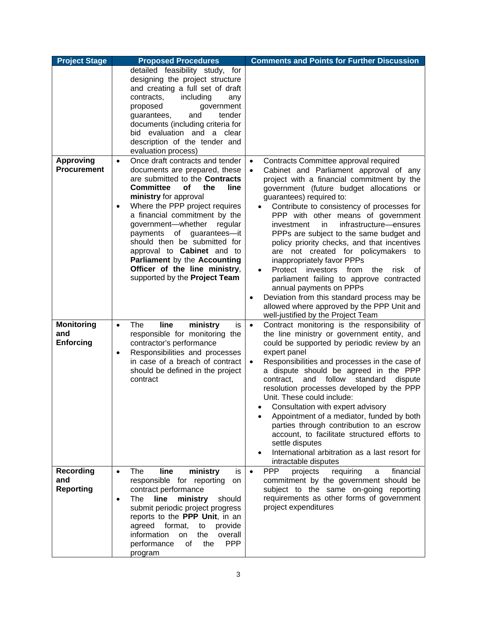| <b>Project Stage</b>                   | <b>Proposed Procedures</b>                                                                                                                                                                                                                                                                                                                                                                                           | <b>Comments and Points for Further Discussion</b>                                                                                                                                                                                                                                                                                                                                                                                                                                                                                                                                                                                                                                                    |
|----------------------------------------|----------------------------------------------------------------------------------------------------------------------------------------------------------------------------------------------------------------------------------------------------------------------------------------------------------------------------------------------------------------------------------------------------------------------|------------------------------------------------------------------------------------------------------------------------------------------------------------------------------------------------------------------------------------------------------------------------------------------------------------------------------------------------------------------------------------------------------------------------------------------------------------------------------------------------------------------------------------------------------------------------------------------------------------------------------------------------------------------------------------------------------|
|                                        | detailed feasibility study, for<br>designing the project structure<br>and creating a full set of draft<br>contracts,<br>including<br>any<br>proposed<br>government<br>guarantees,<br>and<br>tender<br>documents (including criteria for<br>bid evaluation and a clear<br>description of the tender and<br>evaluation process)                                                                                        |                                                                                                                                                                                                                                                                                                                                                                                                                                                                                                                                                                                                                                                                                                      |
| <b>Approving</b><br><b>Procurement</b> | Once draft contracts and tender<br>$\bullet$<br>documents are prepared, these                                                                                                                                                                                                                                                                                                                                        | Contracts Committee approval required<br>$\bullet$<br>$\bullet$                                                                                                                                                                                                                                                                                                                                                                                                                                                                                                                                                                                                                                      |
|                                        | are submitted to the Contracts<br>Committee<br>line<br>оf<br>the<br>ministry for approval<br>Where the PPP project requires<br>$\bullet$<br>a financial commitment by the<br>government-whether<br>regular<br>of<br>payments<br>guarantees-it<br>should then be submitted for<br>approval to <b>Cabinet</b> and to<br>Parliament by the Accounting<br>Officer of the line ministry,<br>supported by the Project Team | Cabinet and Parliament approval of any<br>project with a financial commitment by the<br>government (future budget allocations or<br>guarantees) required to:<br>Contribute to consistency of processes for<br>PPP with other means of government<br>infrastructure-ensures<br>investment<br>in.<br>PPPs are subject to the same budget and<br>policy priority checks, and that incentives<br>are not created for policymakers to<br>inappropriately favor PPPs<br>Protect<br>investors<br>from<br>the<br>risk<br>οf<br>parliament failing to approve contracted<br>annual payments on PPPs<br>Deviation from this standard process may be<br>$\bullet$<br>allowed where approved by the PPP Unit and |
| <b>Monitoring</b>                      | line<br>ministry<br>The<br>is<br>$\bullet$                                                                                                                                                                                                                                                                                                                                                                           | well-justified by the Project Team<br>Contract monitoring is the responsibility of<br>$\bullet$                                                                                                                                                                                                                                                                                                                                                                                                                                                                                                                                                                                                      |
| and<br><b>Enforcing</b>                | responsible for monitoring the<br>contractor's performance<br>Responsibilities and processes<br>$\bullet$<br>in case of a breach of contract<br>should be defined in the project<br>contract                                                                                                                                                                                                                         | the line ministry or government entity, and<br>could be supported by periodic review by an<br>expert panel<br>Responsibilities and processes in the case of<br>$\bullet$<br>a dispute should be agreed in the PPP<br>standard<br>contract,<br>and<br>follow<br>dispute<br>resolution processes developed by the PPP<br>Unit. These could include:<br>Consultation with expert advisory<br>Appointment of a mediator, funded by both<br>parties through contribution to an escrow<br>account, to facilitate structured efforts to<br>settle disputes<br>International arbitration as a last resort for<br>intractable disputes                                                                        |
| <b>Recording</b>                       | The<br>line<br>ministry<br>is.<br>$\bullet$                                                                                                                                                                                                                                                                                                                                                                          | <b>PPP</b><br>requiring<br>financial<br>projects<br>a<br>$\bullet$                                                                                                                                                                                                                                                                                                                                                                                                                                                                                                                                                                                                                                   |
| and<br><b>Reporting</b>                | responsible for reporting<br>on<br>contract performance<br>line<br>The<br>ministry<br>should<br>$\bullet$<br>submit periodic project progress<br>reports to the PPP Unit, in an<br>agreed format,<br>provide<br>to<br>information<br>overall<br>the<br><b>on</b><br><b>PPP</b><br>of<br>the<br>performance<br>program                                                                                                | commitment by the government should be<br>subject to the same on-going reporting<br>requirements as other forms of government<br>project expenditures                                                                                                                                                                                                                                                                                                                                                                                                                                                                                                                                                |